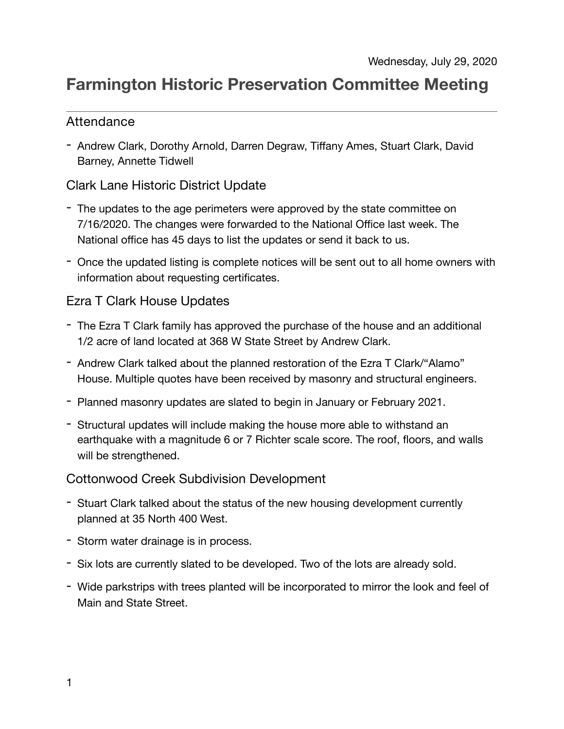# **Farmington Historic Preservation Committee Meeting**

#### Attendance

- Andrew Clark, Dorothy Arnold, Darren Degraw, Tiffany Ames, Stuart Clark, David Barney, Annette Tidwell

### Clark Lane Historic District Update

- The updates to the age perimeters were approved by the state committee on 7/16/2020. The changes were forwarded to the National Office last week. The National office has 45 days to list the updates or send it back to us.
- Once the updated listing is complete notices will be sent out to all home owners with information about requesting certificates.

#### Ezra T Clark House Updates

- The Ezra T Clark family has approved the purchase of the house and an additional 1/2 acre of land located at 368 W State Street by Andrew Clark.
- Andrew Clark talked about the planned restoration of the Ezra T Clark/"Alamo" House. Multiple quotes have been received by masonry and structural engineers.
- Planned masonry updates are slated to begin in January or February 2021.
- Structural updates will include making the house more able to withstand an earthquake with a magnitude 6 or 7 Richter scale score. The roof, floors, and walls will be strengthened.

#### Cottonwood Creek Subdivision Development

- Stuart Clark talked about the status of the new housing development currently planned at 35 North 400 West.
- Storm water drainage is in process.
- Six lots are currently slated to be developed. Two of the lots are already sold.
- Wide parkstrips with trees planted will be incorporated to mirror the look and feel of Main and State Street.